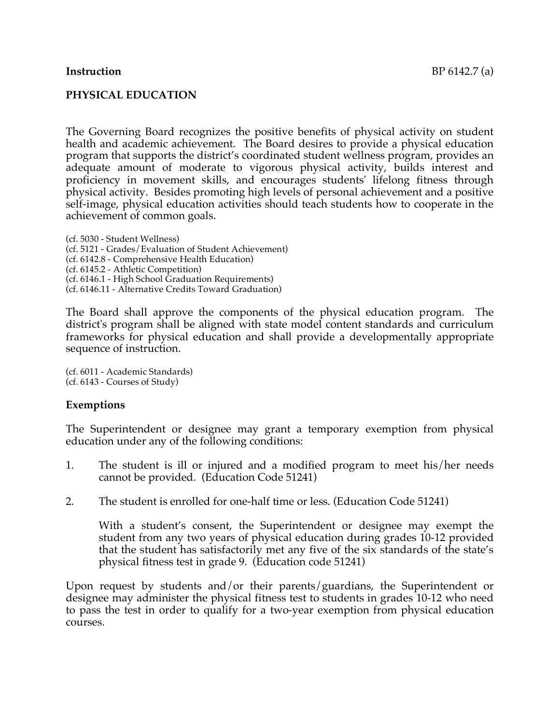## **PHYSICAL EDUCATION**

The Governing Board recognizes the positive benefits of physical activity on student health and academic achievement. The Board desires to provide a physical education program that supports the district's coordinated student wellness program, provides an adequate amount of moderate to vigorous physical activity, builds interest and proficiency in movement skills, and encourages students' lifelong fitness through physical activity. Besides promoting high levels of personal achievement and a positive self-image, physical education activities should teach students how to cooperate in the achievement of common goals.

(cf. 5030 - Student Wellness) (cf. 5121 - Grades/Evaluation of Student Achievement) (cf. 6142.8 - Comprehensive Health Education) (cf. 6145.2 - Athletic Competition) (cf. 6146.1 - High School Graduation Requirements) (cf. 6146.11 - Alternative Credits Toward Graduation)

The Board shall approve the components of the physical education program. The district's program shall be aligned with state model content standards and curriculum frameworks for physical education and shall provide a developmentally appropriate sequence of instruction.

(cf. 6011 - Academic Standards) (cf. 6143 - Courses of Study)

#### **Exemptions**

The Superintendent or designee may grant a temporary exemption from physical education under any of the following conditions:

- 1. The student is ill or injured and a modified program to meet his/her needs cannot be provided. (Education Code 51241)
- 2. The student is enrolled for one-half time or less. (Education Code 51241)

With a student's consent, the Superintendent or designee may exempt the student from any two years of physical education during grades 10-12 provided that the student has satisfactorily met any five of the six standards of the state's physical fitness test in grade 9. (Education code 51241)

Upon request by students and/or their parents/guardians, the Superintendent or designee may administer the physical fitness test to students in grades 10-12 who need to pass the test in order to qualify for a two-year exemption from physical education courses.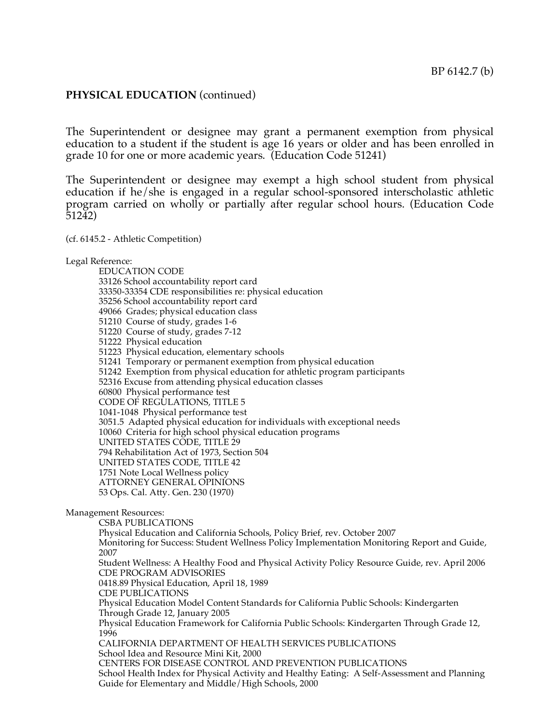#### **PHYSICAL EDUCATION** (continued)

The Superintendent or designee may grant a permanent exemption from physical education to a student if the student is age 16 years or older and has been enrolled in grade 10 for one or more academic years. (Education Code 51241)

The Superintendent or designee may exempt a high school student from physical education if he/she is engaged in a regular school-sponsored interscholastic athletic program carried on wholly or partially after regular school hours. (Education Code 51242)

(cf. 6145.2 - Athletic Competition)

Legal Reference:

EDUCATION CODE 33126 School accountability report card 33350-33354 CDE responsibilities re: physical education 35256 School accountability report card 49066 Grades; physical education class 51210 Course of study, grades 1-6 51220 Course of study, grades 7-12 51222 Physical education 51223 Physical education, elementary schools 51241 Temporary or permanent exemption from physical education 51242 Exemption from physical education for athletic program participants 52316 Excuse from attending physical education classes 60800 Physical performance test CODE OF REGULATIONS, TITLE 5 1041-1048 Physical performance test 3051.5 Adapted physical education for individuals with exceptional needs 10060 Criteria for high school physical education programs UNITED STATES CODE, TITLE 29 794 Rehabilitation Act of 1973, Section 504 UNITED STATES CODE, TITLE 42 1751 Note Local Wellness policy ATTORNEY GENERAL OPINIONS 53 Ops. Cal. Atty. Gen. 230 (1970) Management Resources: CSBA PUBLICATIONS Physical Education and California Schools, Policy Brief, rev. October 2007 Monitoring for Success: Student Wellness Policy Implementation Monitoring Report and Guide, 2007 Student Wellness: A Healthy Food and Physical Activity Policy Resource Guide, rev. April 2006 CDE PROGRAM ADVISORIES 0418.89 Physical Education, April 18, 1989 CDE PUBLICATIONS Physical Education Model Content Standards for California Public Schools: Kindergarten Through Grade 12, January 2005 Physical Education Framework for California Public Schools: Kindergarten Through Grade 12, 1996 CALIFORNIA DEPARTMENT OF HEALTH SERVICES PUBLICATIONS School Idea and Resource Mini Kit, 2000 CENTERS FOR DISEASE CONTROL AND PREVENTION PUBLICATIONS School Health Index for Physical Activity and Healthy Eating: A Self-Assessment and Planning Guide for Elementary and Middle/High Schools, 2000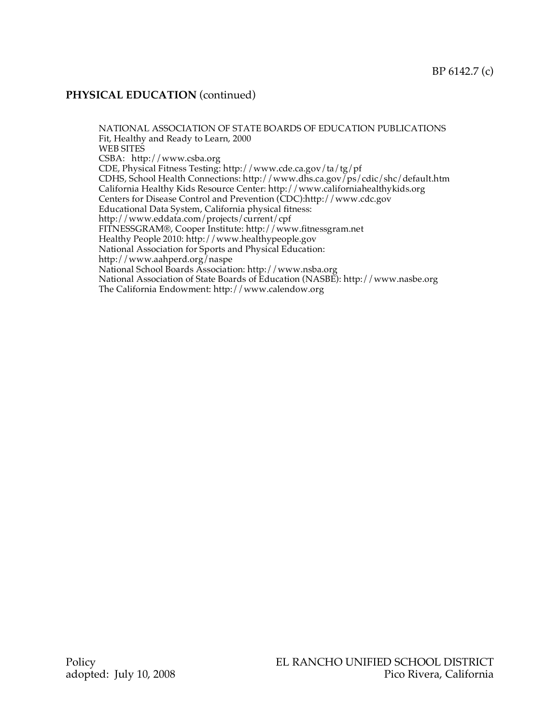## **PHYSICAL EDUCATION** (continued)

NATIONAL ASSOCIATION OF STATE BOARDS OF EDUCATION PUBLICATIONS Fit, Healthy and Ready to Learn, 2000 WEB SITES CSBA: http://www.csba.org CDE, Physical Fitness Testing: http://www.cde.ca.gov/ta/tg/pf CDHS, School Health Connections: http://www.dhs.ca.gov/ps/cdic/shc/default.htm California Healthy Kids Resource Center: http://www.californiahealthykids.org Centers for Disease Control and Prevention (CDC):http://www.cdc.gov Educational Data System, California physical fitness: http://www.eddata.com/projects/current/cpf FITNESSGRAM®, Cooper Institute: http://www.fitnessgram.net Healthy People 2010: http://www.healthypeople.gov National Association for Sports and Physical Education: http://www.aahperd.org/naspe National School Boards Association: http://www.nsba.org National Association of State Boards of Education (NASBE): http://www.nasbe.org The California Endowment: http://www.calendow.org